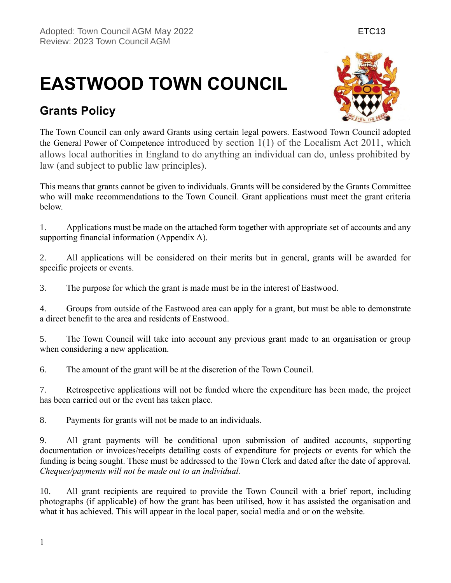# **EASTWOOD TOWN COUNCIL**

## **Grants Policy**



The Town Council can only award Grants using certain legal powers. Eastwood Town Council adopted the General Power of Competence introduced by section 1(1) of the Localism Act 2011, which allows local authorities in England to do anything an individual can do, unless prohibited by law (and subject to public law principles).

This means that grants cannot be given to individuals. Grants will be considered by the Grants Committee who will make recommendations to the Town Council. Grant applications must meet the grant criteria below.

1. Applications must be made on the attached form together with appropriate set of accounts and any supporting financial information (Appendix A).

2. All applications will be considered on their merits but in general, grants will be awarded for specific projects or events.

3. The purpose for which the grant is made must be in the interest of Eastwood.

4. Groups from outside of the Eastwood area can apply for a grant, but must be able to demonstrate a direct benefit to the area and residents of Eastwood.

5. The Town Council will take into account any previous grant made to an organisation or group when considering a new application.

6. The amount of the grant will be at the discretion of the Town Council.

7. Retrospective applications will not be funded where the expenditure has been made, the project has been carried out or the event has taken place.

8. Payments for grants will not be made to an individuals.

9. All grant payments will be conditional upon submission of audited accounts, supporting documentation or invoices/receipts detailing costs of expenditure for projects or events for which the funding is being sought. These must be addressed to the Town Clerk and dated after the date of approval. *Cheques/payments will not be made out to an individual.* 

10. All grant recipients are required to provide the Town Council with a brief report, including photographs (if applicable) of how the grant has been utilised, how it has assisted the organisation and what it has achieved. This will appear in the local paper, social media and or on the website.